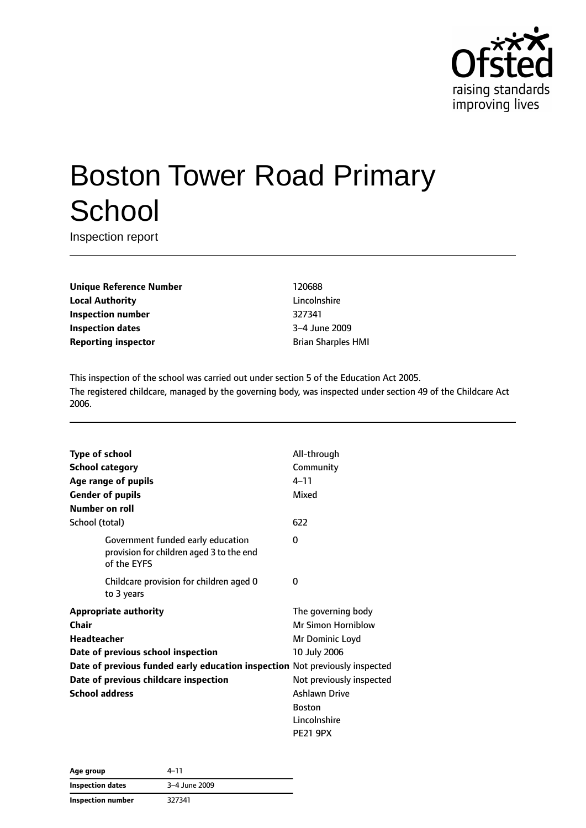

# Boston Tower Road Primary **School**

Inspection report

**Unique Reference Number** 120688 **Local Authority** Lincolnshire **Inspection number** 327341 **Inspection dates** 3–4 June 2009 **Reporting inspector by a strategier of the Brian Sharples HMI** 

This inspection of the school was carried out under section 5 of the Education Act 2005. The registered childcare, managed by the governing body, was inspected under section 49 of the Childcare Act 2006.

| <b>Type of school</b>                                                                        | All-through               |
|----------------------------------------------------------------------------------------------|---------------------------|
| <b>School category</b>                                                                       | Community                 |
| Age range of pupils                                                                          | $4 - 11$                  |
| <b>Gender of pupils</b>                                                                      | Mixed                     |
| Number on roll                                                                               |                           |
| School (total)                                                                               | 622                       |
| Government funded early education<br>provision for children aged 3 to the end<br>of the EYFS | O                         |
| Childcare provision for children aged 0<br>to 3 years                                        | 0                         |
| <b>Appropriate authority</b>                                                                 | The governing body        |
| Chair                                                                                        | <b>Mr Simon Horniblow</b> |
| <b>Headteacher</b>                                                                           | Mr Dominic Loyd           |
| Date of previous school inspection                                                           | 10 July 2006              |
| Date of previous funded early education inspection Not previously inspected                  |                           |
| Date of previous childcare inspection                                                        | Not previously inspected  |
| <b>School address</b>                                                                        | <b>Ashlawn Drive</b>      |
|                                                                                              | <b>Boston</b>             |
|                                                                                              | Lincolnshire              |
|                                                                                              | <b>PE21 9PX</b>           |

| Age group         | $4 - 11$      |
|-------------------|---------------|
| Inspection dates  | 3-4 June 2009 |
| Inspection number | 327341        |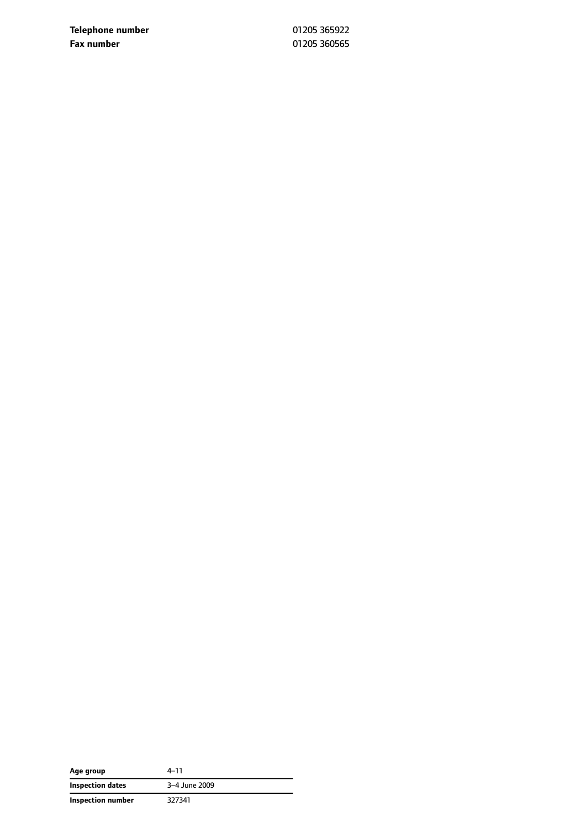**Telephone number** 01205 365922 **Fax number** 01205 360565

| Age group         | $4 - 11$      |
|-------------------|---------------|
| Inspection dates  | 3-4 June 2009 |
| Inspection number | 327341        |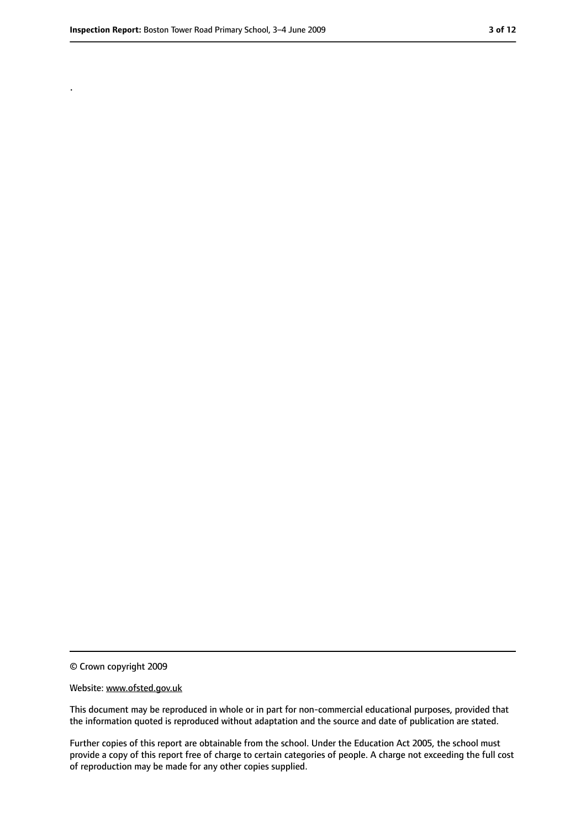.

<sup>©</sup> Crown copyright 2009

Website: www.ofsted.gov.uk

This document may be reproduced in whole or in part for non-commercial educational purposes, provided that the information quoted is reproduced without adaptation and the source and date of publication are stated.

Further copies of this report are obtainable from the school. Under the Education Act 2005, the school must provide a copy of this report free of charge to certain categories of people. A charge not exceeding the full cost of reproduction may be made for any other copies supplied.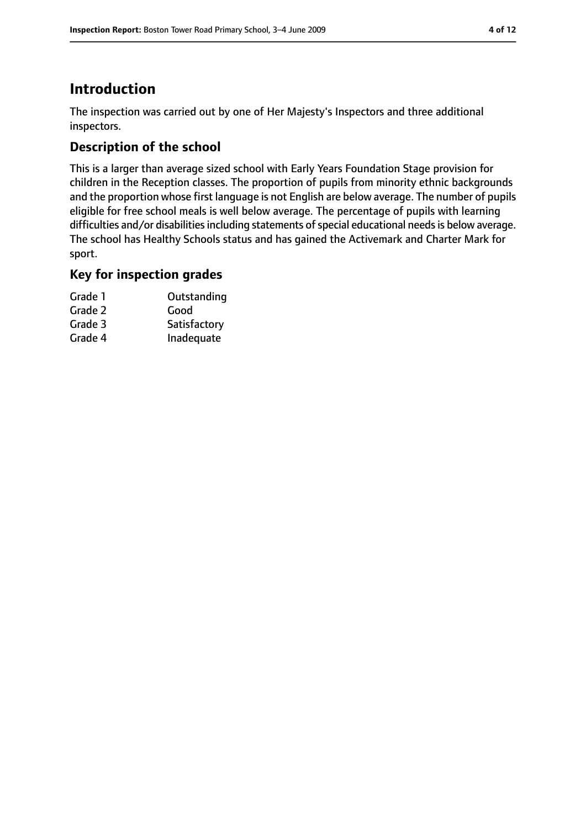# **Introduction**

The inspection was carried out by one of Her Majesty's Inspectors and three additional inspectors.

# **Description of the school**

This is a larger than average sized school with Early Years Foundation Stage provision for children in the Reception classes. The proportion of pupils from minority ethnic backgrounds and the proportion whose first language is not English are below average. The number of pupils eligible for free school meals is well below average. The percentage of pupils with learning difficulties and/or disabilities including statements of special educational needs is below average. The school has Healthy Schools status and has gained the Activemark and Charter Mark for sport.

## **Key for inspection grades**

| Grade 1 | Outstanding  |
|---------|--------------|
| Grade 2 | Good         |
| Grade 3 | Satisfactory |
| Grade 4 | Inadequate   |
|         |              |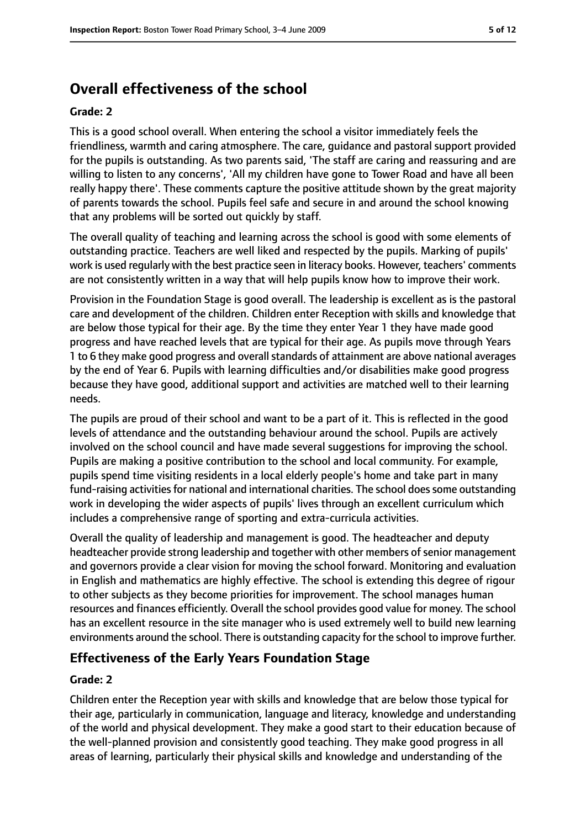# **Overall effectiveness of the school**

#### **Grade: 2**

This is a good school overall. When entering the school a visitor immediately feels the friendliness, warmth and caring atmosphere. The care, guidance and pastoral support provided for the pupils is outstanding. As two parents said, 'The staff are caring and reassuring and are willing to listen to any concerns', 'All my children have gone to Tower Road and have all been really happy there'. These comments capture the positive attitude shown by the great majority of parents towards the school. Pupils feel safe and secure in and around the school knowing that any problems will be sorted out quickly by staff.

The overall quality of teaching and learning across the school is good with some elements of outstanding practice. Teachers are well liked and respected by the pupils. Marking of pupils' work is used regularly with the best practice seen in literacy books. However, teachers' comments are not consistently written in a way that will help pupils know how to improve their work.

Provision in the Foundation Stage is good overall. The leadership is excellent as is the pastoral care and development of the children. Children enter Reception with skills and knowledge that are below those typical for their age. By the time they enter Year 1 they have made good progress and have reached levels that are typical for their age. As pupils move through Years 1 to 6 they make good progress and overall standards of attainment are above national averages by the end of Year 6. Pupils with learning difficulties and/or disabilities make good progress because they have good, additional support and activities are matched well to their learning needs.

The pupils are proud of their school and want to be a part of it. This is reflected in the good levels of attendance and the outstanding behaviour around the school. Pupils are actively involved on the school council and have made several suggestions for improving the school. Pupils are making a positive contribution to the school and local community. For example, pupils spend time visiting residents in a local elderly people's home and take part in many fund-raising activities for national and international charities. The school does some outstanding work in developing the wider aspects of pupils' lives through an excellent curriculum which includes a comprehensive range of sporting and extra-curricula activities.

Overall the quality of leadership and management is good. The headteacher and deputy headteacher provide strong leadership and together with other members of senior management and governors provide a clear vision for moving the school forward. Monitoring and evaluation in English and mathematics are highly effective. The school is extending this degree of rigour to other subjects as they become priorities for improvement. The school manages human resources and finances efficiently. Overall the school provides good value for money. The school has an excellent resource in the site manager who is used extremely well to build new learning environments around the school. There is outstanding capacity for the school to improve further.

## **Effectiveness of the Early Years Foundation Stage**

#### **Grade: 2**

Children enter the Reception year with skills and knowledge that are below those typical for their age, particularly in communication, language and literacy, knowledge and understanding of the world and physical development. They make a good start to their education because of the well-planned provision and consistently good teaching. They make good progress in all areas of learning, particularly their physical skills and knowledge and understanding of the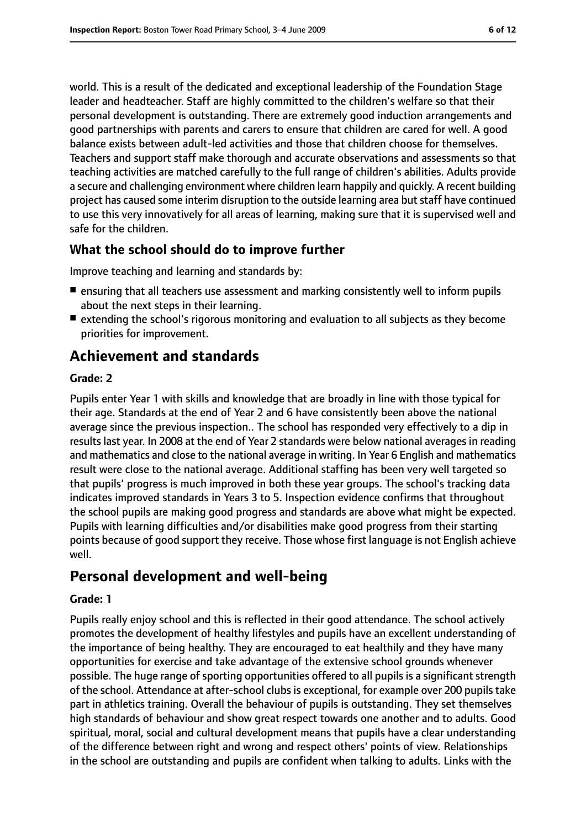world. This is a result of the dedicated and exceptional leadership of the Foundation Stage leader and headteacher. Staff are highly committed to the children's welfare so that their personal development is outstanding. There are extremely good induction arrangements and good partnerships with parents and carers to ensure that children are cared for well. A good balance exists between adult-led activities and those that children choose for themselves. Teachers and support staff make thorough and accurate observations and assessments so that teaching activities are matched carefully to the full range of children's abilities. Adults provide a secure and challenging environment where children learn happily and quickly. A recent building project has caused some interim disruption to the outside learning area butstaff have continued to use this very innovatively for all areas of learning, making sure that it is supervised well and safe for the children.

## **What the school should do to improve further**

Improve teaching and learning and standards by:

- ensuring that all teachers use assessment and marking consistently well to inform pupils about the next steps in their learning.
- extending the school's rigorous monitoring and evaluation to all subjects as they become priorities for improvement.

# **Achievement and standards**

#### **Grade: 2**

Pupils enter Year 1 with skills and knowledge that are broadly in line with those typical for their age. Standards at the end of Year 2 and 6 have consistently been above the national average since the previous inspection.. The school has responded very effectively to a dip in results last year. In 2008 at the end of Year 2 standards were below national averages in reading and mathematics and close to the national average in writing. In Year 6 English and mathematics result were close to the national average. Additional staffing has been very well targeted so that pupils' progress is much improved in both these year groups. The school's tracking data indicates improved standards in Years 3 to 5. Inspection evidence confirms that throughout the school pupils are making good progress and standards are above what might be expected. Pupils with learning difficulties and/or disabilities make good progress from their starting points because of good support they receive. Those whose first language is not English achieve well.

# **Personal development and well-being**

#### **Grade: 1**

Pupils really enjoy school and this is reflected in their good attendance. The school actively promotes the development of healthy lifestyles and pupils have an excellent understanding of the importance of being healthy. They are encouraged to eat healthily and they have many opportunities for exercise and take advantage of the extensive school grounds whenever possible. The huge range of sporting opportunities offered to all pupils is a significant strength of the school. Attendance at after-school clubs is exceptional, for example over 200 pupils take part in athletics training. Overall the behaviour of pupils is outstanding. They set themselves high standards of behaviour and show great respect towards one another and to adults. Good spiritual, moral, social and cultural development means that pupils have a clear understanding of the difference between right and wrong and respect others' points of view. Relationships in the school are outstanding and pupils are confident when talking to adults. Links with the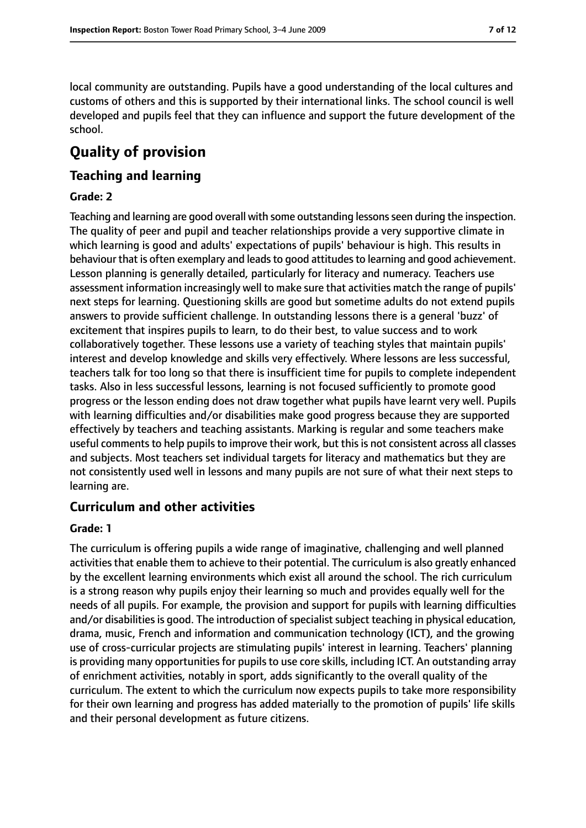local community are outstanding. Pupils have a good understanding of the local cultures and customs of others and this is supported by their international links. The school council is well developed and pupils feel that they can influence and support the future development of the school.

# **Quality of provision**

## **Teaching and learning**

#### **Grade: 2**

Teaching and learning are good overall with some outstanding lessonsseen during the inspection. The quality of peer and pupil and teacher relationships provide a very supportive climate in which learning is good and adults' expectations of pupils' behaviour is high. This results in behaviour that is often exemplary and leads to good attitudes to learning and good achievement. Lesson planning is generally detailed, particularly for literacy and numeracy. Teachers use assessment information increasingly well to make sure that activities match the range of pupils' next steps for learning. Questioning skills are good but sometime adults do not extend pupils answers to provide sufficient challenge. In outstanding lessons there is a general 'buzz' of excitement that inspires pupils to learn, to do their best, to value success and to work collaboratively together. These lessons use a variety of teaching styles that maintain pupils' interest and develop knowledge and skills very effectively. Where lessons are less successful, teachers talk for too long so that there is insufficient time for pupils to complete independent tasks. Also in less successful lessons, learning is not focused sufficiently to promote good progress or the lesson ending does not draw together what pupils have learnt very well. Pupils with learning difficulties and/or disabilities make good progress because they are supported effectively by teachers and teaching assistants. Marking is regular and some teachers make useful comments to help pupils to improve their work, but this is not consistent across all classes and subjects. Most teachers set individual targets for literacy and mathematics but they are not consistently used well in lessons and many pupils are not sure of what their next steps to learning are.

## **Curriculum and other activities**

#### **Grade: 1**

The curriculum is offering pupils a wide range of imaginative, challenging and well planned activities that enable them to achieve to their potential. The curriculum is also greatly enhanced by the excellent learning environments which exist all around the school. The rich curriculum is a strong reason why pupils enjoy their learning so much and provides equally well for the needs of all pupils. For example, the provision and support for pupils with learning difficulties and/or disabilities is good. The introduction of specialist subject teaching in physical education, drama, music, French and information and communication technology (ICT), and the growing use of cross-curricular projects are stimulating pupils' interest in learning. Teachers' planning is providing many opportunities for pupils to use core skills, including ICT. An outstanding array of enrichment activities, notably in sport, adds significantly to the overall quality of the curriculum. The extent to which the curriculum now expects pupils to take more responsibility for their own learning and progress has added materially to the promotion of pupils' life skills and their personal development as future citizens.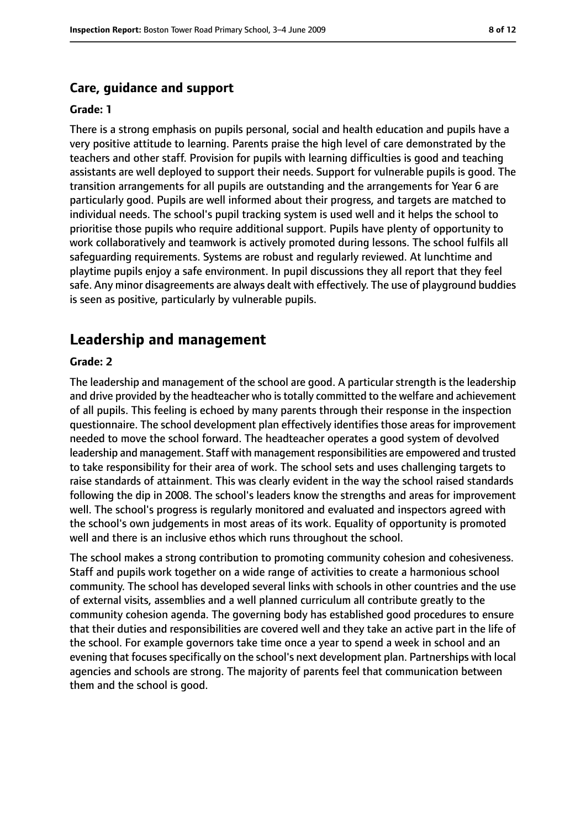#### **Care, guidance and support**

#### **Grade: 1**

There is a strong emphasis on pupils personal, social and health education and pupils have a very positive attitude to learning. Parents praise the high level of care demonstrated by the teachers and other staff. Provision for pupils with learning difficulties is good and teaching assistants are well deployed to support their needs. Support for vulnerable pupils is good. The transition arrangements for all pupils are outstanding and the arrangements for Year 6 are particularly good. Pupils are well informed about their progress, and targets are matched to individual needs. The school's pupil tracking system is used well and it helps the school to prioritise those pupils who require additional support. Pupils have plenty of opportunity to work collaboratively and teamwork is actively promoted during lessons. The school fulfils all safeguarding requirements. Systems are robust and regularly reviewed. At lunchtime and playtime pupils enjoy a safe environment. In pupil discussions they all report that they feel safe. Any minor disagreements are always dealt with effectively. The use of playground buddies is seen as positive, particularly by vulnerable pupils.

## **Leadership and management**

#### **Grade: 2**

The leadership and management of the school are good. A particular strength is the leadership and drive provided by the headteacher who is totally committed to the welfare and achievement of all pupils. This feeling is echoed by many parents through their response in the inspection questionnaire. The school development plan effectively identifies those areas for improvement needed to move the school forward. The headteacher operates a good system of devolved leadership and management. Staff with management responsibilities are empowered and trusted to take responsibility for their area of work. The school sets and uses challenging targets to raise standards of attainment. This was clearly evident in the way the school raised standards following the dip in 2008. The school's leaders know the strengths and areas for improvement well. The school's progress is regularly monitored and evaluated and inspectors agreed with the school's own judgements in most areas of its work. Equality of opportunity is promoted well and there is an inclusive ethos which runs throughout the school.

The school makes a strong contribution to promoting community cohesion and cohesiveness. Staff and pupils work together on a wide range of activities to create a harmonious school community. The school has developed several links with schools in other countries and the use of external visits, assemblies and a well planned curriculum all contribute greatly to the community cohesion agenda. The governing body has established good procedures to ensure that their duties and responsibilities are covered well and they take an active part in the life of the school. For example governors take time once a year to spend a week in school and an evening that focuses specifically on the school's next development plan. Partnerships with local agencies and schools are strong. The majority of parents feel that communication between them and the school is good.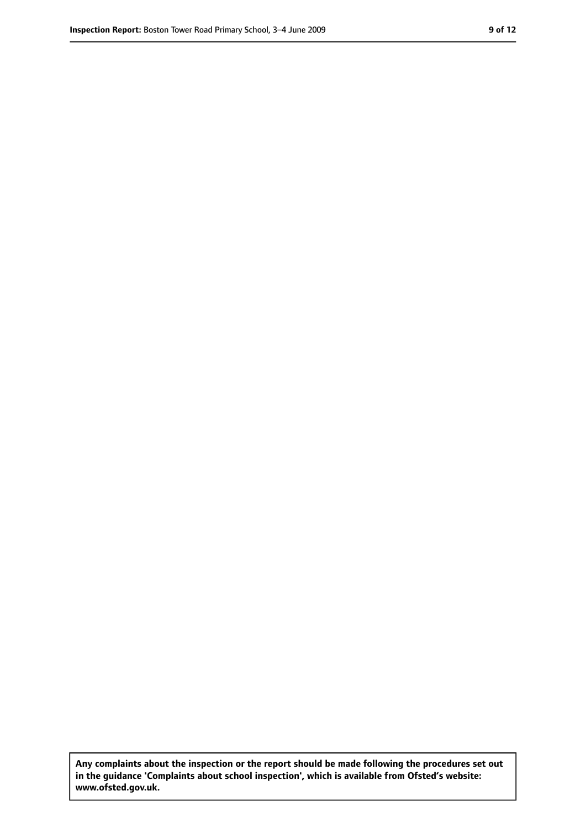**Any complaints about the inspection or the report should be made following the procedures set out in the guidance 'Complaints about school inspection', which is available from Ofsted's website: www.ofsted.gov.uk.**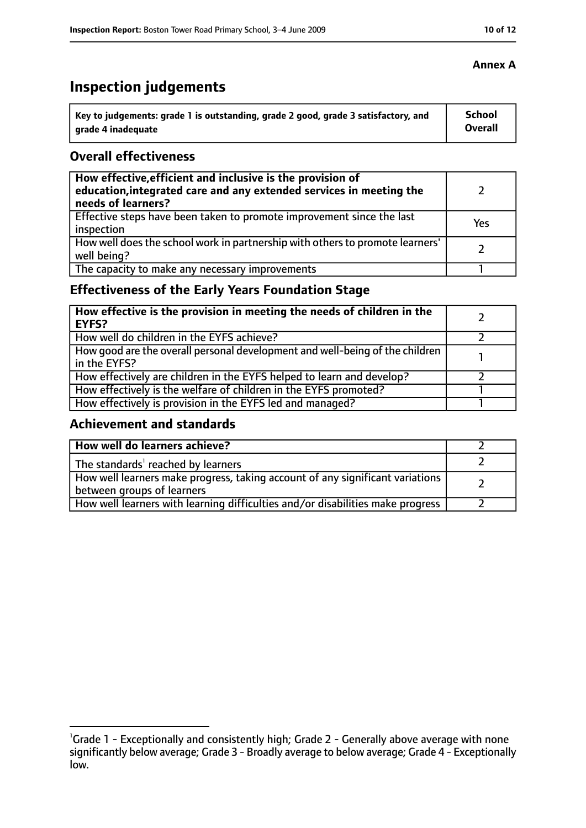# **Inspection judgements**

| Key to judgements: grade 1 is outstanding, grade 2 good, grade 3 satisfactory, and | <b>School</b> |
|------------------------------------------------------------------------------------|---------------|
| arade 4 inadequate                                                                 | Overall       |

## **Overall effectiveness**

| How effective, efficient and inclusive is the provision of<br>education, integrated care and any extended services in meeting the<br>needs of learners? |     |
|---------------------------------------------------------------------------------------------------------------------------------------------------------|-----|
| Effective steps have been taken to promote improvement since the last<br>inspection                                                                     | Yes |
| How well does the school work in partnership with others to promote learners'<br>well being?                                                            |     |
| The capacity to make any necessary improvements                                                                                                         |     |

# **Effectiveness of the Early Years Foundation Stage**

| How effective is the provision in meeting the needs of children in the<br>l EYFS?            |  |
|----------------------------------------------------------------------------------------------|--|
| How well do children in the EYFS achieve?                                                    |  |
| How good are the overall personal development and well-being of the children<br>in the EYFS? |  |
| How effectively are children in the EYFS helped to learn and develop?                        |  |
| How effectively is the welfare of children in the EYFS promoted?                             |  |
| How effectively is provision in the EYFS led and managed?                                    |  |

## **Achievement and standards**

| How well do learners achieve?                                                                               |  |
|-------------------------------------------------------------------------------------------------------------|--|
| The standards <sup>1</sup> reached by learners                                                              |  |
| How well learners make progress, taking account of any significant variations<br>between groups of learners |  |
| How well learners with learning difficulties and/or disabilities make progress                              |  |

# **Annex A**

<sup>&</sup>lt;sup>1</sup>Grade 1 - Exceptionally and consistently high; Grade 2 - Generally above average with none significantly below average; Grade 3 - Broadly average to below average; Grade 4 - Exceptionally low.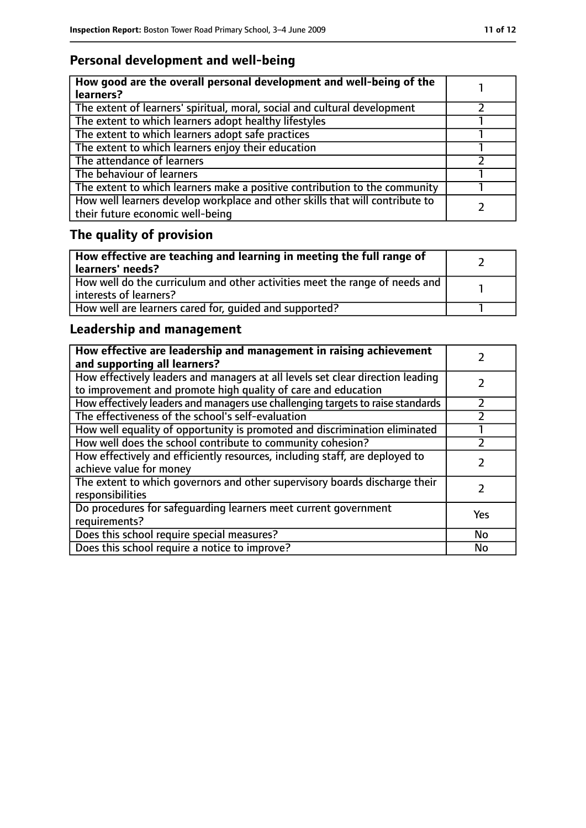# **Personal development and well-being**

| How good are the overall personal development and well-being of the<br>learners?                                 |  |
|------------------------------------------------------------------------------------------------------------------|--|
| The extent of learners' spiritual, moral, social and cultural development                                        |  |
| The extent to which learners adopt healthy lifestyles                                                            |  |
| The extent to which learners adopt safe practices                                                                |  |
| The extent to which learners enjoy their education                                                               |  |
| The attendance of learners                                                                                       |  |
| The behaviour of learners                                                                                        |  |
| The extent to which learners make a positive contribution to the community                                       |  |
| How well learners develop workplace and other skills that will contribute to<br>their future economic well-being |  |

# **The quality of provision**

| How effective are teaching and learning in meeting the full range of<br>learners' needs?              |  |
|-------------------------------------------------------------------------------------------------------|--|
| How well do the curriculum and other activities meet the range of needs and<br>interests of learners? |  |
| How well are learners cared for, quided and supported?                                                |  |

# **Leadership and management**

| How effective are leadership and management in raising achievement<br>and supporting all learners?                                              |     |
|-------------------------------------------------------------------------------------------------------------------------------------------------|-----|
| How effectively leaders and managers at all levels set clear direction leading<br>to improvement and promote high quality of care and education |     |
| How effectively leaders and managers use challenging targets to raise standards                                                                 |     |
| The effectiveness of the school's self-evaluation                                                                                               |     |
| How well equality of opportunity is promoted and discrimination eliminated                                                                      |     |
| How well does the school contribute to community cohesion?                                                                                      |     |
| How effectively and efficiently resources, including staff, are deployed to<br>achieve value for money                                          |     |
| The extent to which governors and other supervisory boards discharge their<br>responsibilities                                                  |     |
| Do procedures for safeguarding learners meet current government<br>requirements?                                                                | Yes |
| Does this school require special measures?                                                                                                      | No  |
| Does this school require a notice to improve?                                                                                                   | No  |